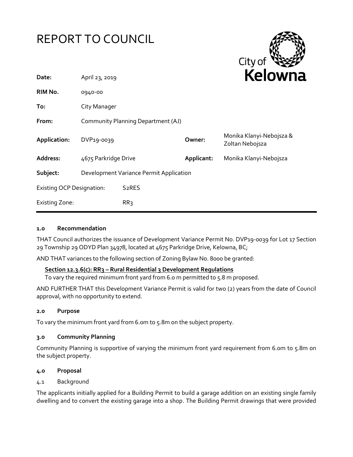



| Date:                            | April 23, 2019                          |                    | <b>NEIUWI</b> k |                                             |
|----------------------------------|-----------------------------------------|--------------------|-----------------|---------------------------------------------|
| RIM No.                          | 0940-00                                 |                    |                 |                                             |
| To:                              | City Manager                            |                    |                 |                                             |
| From:                            | Community Planning Department (AJ)      |                    |                 |                                             |
| Application:                     | DVP19-0039                              |                    | Owner:          | Monika Klanyi-Nebojsza &<br>Zoltan Nebojsza |
| Address:                         | 4675 Parkridge Drive                    |                    | Applicant:      | Monika Klanyi-Nebojsza                      |
| Subject:                         | Development Variance Permit Application |                    |                 |                                             |
| <b>Existing OCP Designation:</b> |                                         | S <sub>2</sub> RES |                 |                                             |
| <b>Existing Zone:</b>            |                                         | RR <sub>3</sub>    |                 |                                             |

## **1.0 Recommendation**

THAT Council authorizes the issuance of Development Variance Permit No. DVP19-0039 for Lot 17 Section 29 Township 29 ODYD Plan 34978, located at 4675 Parkridge Drive, Kelowna, BC;

AND THAT variances to the following section of Zoning Bylaw No. 8000 be granted:

## **Section 12.3.6(c): RR3 – Rural Residential 3 Development Regulations**

To vary the required minimum front yard from 6.0 m permitted to 5.8 m proposed.

AND FURTHER THAT this Development Variance Permit is valid for two (2) years from the date of Council approval, with no opportunity to extend.

#### **2.0 Purpose**

To vary the minimum front yard from 6.0m to 5.8m on the subject property.

#### **3.0 Community Planning**

Community Planning is supportive of varying the minimum front yard requirement from 6.0m to 5.8m on the subject property.

#### **4.0 Proposal**

## 4.1 Background

The applicants initially applied for a Building Permit to build a garage addition on an existing single family dwelling and to convert the existing garage into a shop. The Building Permit drawings that were provided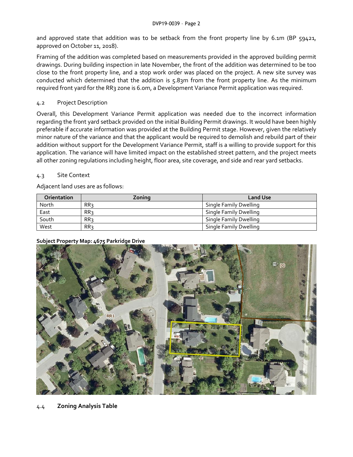and approved state that addition was to be setback from the front property line by 6.1m (BP 59421, approved on October 11, 2018).

Framing of the addition was completed based on measurements provided in the approved building permit drawings. During building inspection in late November, the front of the addition was determined to be too close to the front property line, and a stop work order was placed on the project. A new site survey was conducted which determined that the addition is 5.83m from the front property line. As the minimum required front yard for the RR3 zone is 6.0m, a Development Variance Permit application was required.

# 4.2 Project Description

Overall, this Development Variance Permit application was needed due to the incorrect information regarding the front yard setback provided on the initial Building Permit drawings. It would have been highly preferable if accurate information was provided at the Building Permit stage. However, given the relatively minor nature of the variance and that the applicant would be required to demolish and rebuild part of their addition without support for the Development Variance Permit, staff is a willing to provide support for this application. The variance will have limited impact on the established street pattern, and the project meets all other zoning regulations including height, floor area, site coverage, and side and rear yard setbacks.

# 4.3 Site Context

Adjacent land uses are as follows:

| <b>Orientation</b> | Zoning | <b>Land Use</b>        |
|--------------------|--------|------------------------|
| North              | RR3    | Single Family Dwelling |
| East               | RR3    | Single Family Dwelling |
| South              | RR3    | Single Family Dwelling |
| West               | RR3    | Single Family Dwelling |

# **Subject Property Map: 4675 Parkridge Drive**

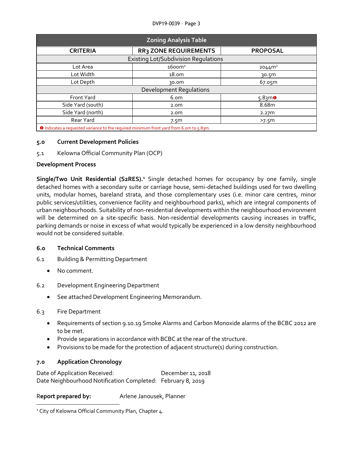#### DVP19-0039 – Page 3

| <b>Zoning Analysis Table</b>                |                    |  |  |  |  |
|---------------------------------------------|--------------------|--|--|--|--|
| <b>RR3 ZONE REQUIREMENTS</b>                | <b>PROPOSAL</b>    |  |  |  |  |
| <b>Existing Lot/Subdivision Regulations</b> |                    |  |  |  |  |
| $16$ oom <sup>2</sup>                       | 2044m <sup>2</sup> |  |  |  |  |
| 18.0m                                       | 30.5m              |  |  |  |  |
| 30.0m                                       | 67.05m             |  |  |  |  |
| <b>Development Regulations</b>              |                    |  |  |  |  |
| 6.om                                        | $5.8$ 3mo          |  |  |  |  |
| 2.0 <sub>m</sub>                            | 8.68m              |  |  |  |  |
| 2.0 <sub>m</sub>                            | 2.27m              |  |  |  |  |
| 7.5 <sub>m</sub>                            | >7.5 <sup>m</sup>  |  |  |  |  |
|                                             |                    |  |  |  |  |

Indicates a requested variance to the required minimum front yard from 6.0m to 5.83m.

## **5.0 Current Development Policies**

5.1 Kelowna Official Community Plan (OCP)

## **Development Process**

**Single/Two Unit Residential (S2RES).<sup>1</sup>** Single detached homes for occupancy by one family, single detached homes with a secondary suite or carriage house, semi-detached buildings used for two dwelling units, modular homes, bareland strata, and those complementary uses (i.e. minor care centres, minor public services/utilities, convenience facility and neighbourhood parks), which are integral components of urban neighbourhoods. Suitability of non-residential developments within the neighbourhood environment will be determined on a site-specific basis. Non-residential developments causing increases in traffic, parking demands or noise in excess of what would typically be experienced in a low density neighbourhood would not be considered suitable.

# **6.0 Technical Comments**

- 6.1 Building & Permitting Department
	- No comment.
- 6.2 Development Engineering Department
	- See attached Development Engineering Memorandum.

## 6.3 Fire Department

1

- Requirements of section 9.10.19 Smoke Alarms and Carbon Monoxide alarms of the BCBC 2012 are to be met.
- Provide separations in accordance with BCBC at the rear of the structure.
- Provisions to be made for the protection of adjacent structure(s) during construction.

# **7.0 Application Chronology**

Date of Application Received: December 11, 2018 Date Neighbourhood Notification Completed: February 8, 2019

R**eport prepared by:** Arlene Janousek, Planner

<sup>&</sup>lt;sup>1</sup> City of Kelowna Official Community Plan, Chapter 4.